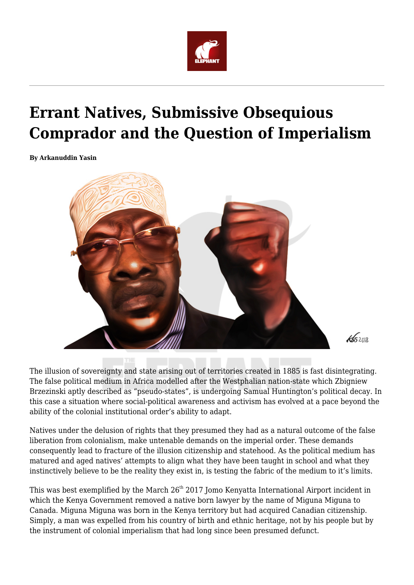

# **Errant Natives, Submissive Obsequious Comprador and the Question of Imperialism**

**By Arkanuddin Yasin**



The illusion of sovereignty and state arising out of territories created in 1885 is fast disintegrating. The false political medium in Africa modelled after the Westphalian nation-state which Zbigniew Brzezinski aptly described as "pseudo-states", is undergoing Samual Huntington's political decay. In this case a situation where social-political awareness and activism has evolved at a pace beyond the ability of the colonial institutional order's ability to adapt.

Natives under the delusion of rights that they presumed they had as a natural outcome of the false liberation from colonialism, make untenable demands on the imperial order. These demands consequently lead to fracture of the illusion citizenship and statehood. As the political medium has matured and aged natives' attempts to align what they have been taught in school and what they instinctively believe to be the reality they exist in, is testing the fabric of the medium to it's limits.

This was best exemplified by the March 26<sup>th</sup> 2017 Jomo Kenyatta International Airport incident in which the Kenya Government removed a native born lawyer by the name of Miguna Miguna to Canada. Miguna Miguna was born in the Kenya territory but had acquired Canadian citizenship. Simply, a man was expelled from his country of birth and ethnic heritage, not by his people but by the instrument of colonial imperialism that had long since been presumed defunct.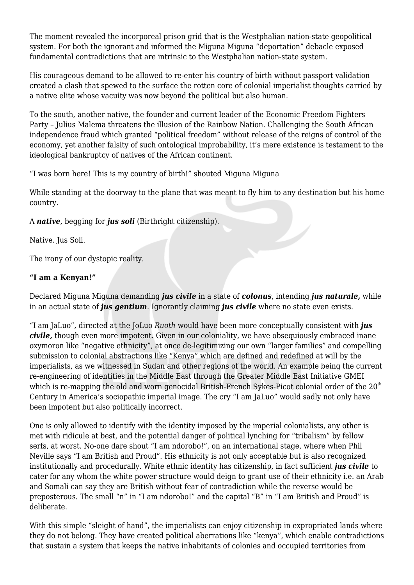The moment revealed the incorporeal prison grid that is the Westphalian nation-state geopolitical system. For both the ignorant and informed the Miguna Miguna "deportation" debacle exposed fundamental contradictions that are intrinsic to the Westphalian nation-state system.

His courageous demand to be allowed to re-enter his country of birth without passport validation created a clash that spewed to the surface the rotten core of colonial imperialist thoughts carried by a native elite whose vacuity was now beyond the political but also human.

To the south, another native, the founder and current leader of the Economic Freedom Fighters Party – Julius Malema threatens the illusion of the Rainbow Nation. Challenging the South African independence fraud which granted "political freedom" without release of the reigns of control of the economy, yet another falsity of such ontological improbability, it's mere existence is testament to the ideological bankruptcy of natives of the African continent.

"I was born here! This is my country of birth!" shouted Miguna Miguna

While standing at the doorway to the plane that was meant to fly him to any destination but his home country.

A *native*, begging for *jus soli* (Birthright citizenship).

Native. Jus Soli.

The irony of our dystopic reality.

## **"I am a Kenyan!"**

Declared Miguna Miguna demanding *jus civile* in a state of *colonus*, intending *jus naturale,* while in an actual state of *jus gentium*. Ignorantly claiming *jus civile* where no state even exists.

"I am JaLuo", directed at the JoLuo *Ruoth* would have been more conceptually consistent with *jus civile,* though even more impotent. Given in our coloniality, we have obsequiously embraced inane oxymoron like "negative ethnicity", at once de-legitimizing our own "larger families" and compelling submission to colonial abstractions like "Kenya" which are defined and redefined at will by the imperialists, as we witnessed in Sudan and other regions of the world. An example being the current re-engineering of identities in the Middle East through the Greater Middle East Initiative GMEI which is re-mapping the old and worn genocidal British-French Sykes-Picot colonial order of the 20<sup>th</sup> Century in America's sociopathic imperial image. The cry "I am JaLuo" would sadly not only have been impotent but also politically incorrect.

One is only allowed to identify with the identity imposed by the imperial colonialists, any other is met with ridicule at best, and the potential danger of political lynching for "tribalism" by fellow serfs, at worst. No-one dare shout "I am ndorobo!", on an international stage, where when Phil Neville says "I am British and Proud". His ethnicity is not only acceptable but is also recognized institutionally and procedurally. White ethnic identity has citizenship, in fact sufficient *jus civile* to cater for any whom the white power structure would deign to grant use of their ethnicity i.e. an Arab and Somali can say they are British without fear of contradiction while the reverse would be preposterous. The small "n" in "I am ndorobo!" and the capital "B" in "I am British and Proud" is deliberate.

With this simple "sleight of hand", the imperialists can enjoy citizenship in expropriated lands where they do not belong. They have created political aberrations like "kenya", which enable contradictions that sustain a system that keeps the native inhabitants of colonies and occupied territories from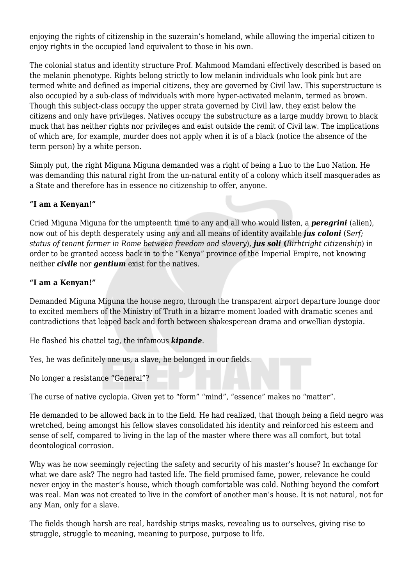enjoying the rights of citizenship in the suzerain's homeland, while allowing the imperial citizen to enjoy rights in the occupied land equivalent to those in his own.

The colonial status and identity structure Prof. Mahmood Mamdani effectively described is based on the melanin phenotype. Rights belong strictly to low melanin individuals who look pink but are termed white and defined as imperial citizens, they are governed by Civil law. This superstructure is also occupied by a sub-class of individuals with more hyper-activated melanin, termed as brown. Though this subject-class occupy the upper strata governed by Civil law, they exist below the citizens and only have privileges. Natives occupy the substructure as a large muddy brown to black muck that has neither rights nor privileges and exist outside the remit of Civil law. The implications of which are, for example, murder does not apply when it is of a black (notice the absence of the term person) by a white person.

Simply put, the right Miguna Miguna demanded was a right of being a Luo to the Luo Nation. He was demanding this natural right from the un-natural entity of a colony which itself masquerades as a State and therefore has in essence no citizenship to offer, anyone.

#### **"I am a Kenyan!"**

Cried Miguna Miguna for the umpteenth time to any and all who would listen, a *peregrini* (alien), now out of his depth desperately using any and all means of identity available *jus coloni* (S*erf; status of tenant farmer in Rome between freedom and slavery*), *jus soli* **(***Birhtright citizenship*) in order to be granted access back in to the "Kenya" province of the Imperial Empire, not knowing neither *civile* nor *gentium* exist for the natives.

#### **"I am a Kenyan!"**

Demanded Miguna Miguna the house negro, through the transparent airport departure lounge door to excited members of the Ministry of Truth in a bizarre moment loaded with dramatic scenes and contradictions that leaped back and forth between shakesperean drama and orwellian dystopia.

He flashed his chattel tag, the infamous *kipande*.

Yes, he was definitely one us, a slave, he belonged in our fields.

No longer a resistance "General"?

The curse of native cyclopia. Given yet to "form" "mind", "essence" makes no "matter".

He demanded to be allowed back in to the field. He had realized, that though being a field negro was wretched, being amongst his fellow slaves consolidated his identity and reinforced his esteem and sense of self, compared to living in the lap of the master where there was all comfort, but total deontological corrosion.

Why was he now seemingly rejecting the safety and security of his master's house? In exchange for what we dare ask? The negro had tasted life. The field promised fame, power, relevance he could never enjoy in the master's house, which though comfortable was cold. Nothing beyond the comfort was real. Man was not created to live in the comfort of another man's house. It is not natural, not for any Man, only for a slave.

The fields though harsh are real, hardship strips masks, revealing us to ourselves, giving rise to struggle, struggle to meaning, meaning to purpose, purpose to life.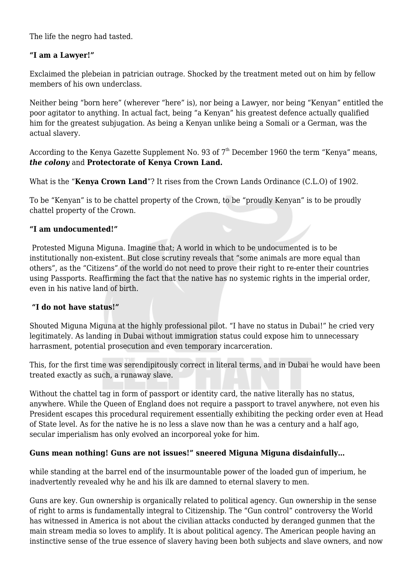The life the negro had tasted.

## **"I am a Lawyer!"**

Exclaimed the plebeian in patrician outrage. Shocked by the treatment meted out on him by fellow members of his own underclass.

Neither being "born here" (wherever "here" is), nor being a Lawyer, nor being "Kenyan" entitled the poor agitator to anything. In actual fact, being "a Kenyan" his greatest defence actually qualified him for the greatest subjugation. As being a Kenyan unlike being a Somali or a German, was the actual slavery.

According to the Kenya Gazette Supplement No. 93 of 7<sup>th</sup> December 1960 the term "Kenya" means, *the colony* and **Protectorate of Kenya Crown Land.**

What is the "**Kenya Crown Land**"? It rises from the Crown Lands Ordinance (C.L.O) of 1902.

To be "Kenyan" is to be chattel property of the Crown, to be "proudly Kenyan" is to be proudly chattel property of the Crown.

## **"I am undocumented!"**

Protested Miguna Miguna. Imagine that; A world in which to be undocumented is to be institutionally non-existent. But close scrutiny reveals that "some animals are more equal than others", as the "Citizens" of the world do not need to prove their right to re-enter their countries using Passports. Reaffirming the fact that the native has no systemic rights in the imperial order, even in his native land of birth.

## **"I do not have status!"**

Shouted Miguna Miguna at the highly professional pilot. "I have no status in Dubai!" he cried very legitimately. As landing in Dubai without immigration status could expose him to unnecessary harrasment, potential prosecution and even temporary incarceration.

This, for the first time was serendipitously correct in literal terms, and in Dubai he would have been treated exactly as such, a runaway slave.

Without the chattel tag in form of passport or identity card, the native literally has no status, anywhere. While the Queen of England does not require a passport to travel anywhere, not even his President escapes this procedural requirement essentially exhibiting the pecking order even at Head of State level. As for the native he is no less a slave now than he was a century and a half ago, secular imperialism has only evolved an incorporeal yoke for him.

## **Guns mean nothing! Guns are not issues!" sneered Miguna Miguna disdainfully…**

while standing at the barrel end of the insurmountable power of the loaded gun of imperium, he inadvertently revealed why he and his ilk are damned to eternal slavery to men.

Guns are key. Gun ownership is organically related to political agency. Gun ownership in the sense of right to arms is fundamentally integral to Citizenship. The "Gun control" controversy the World has witnessed in America is not about the civilian attacks conducted by deranged gunmen that the main stream media so loves to amplify. It is about political agency. The American people having an instinctive sense of the true essence of slavery having been both subjects and slave owners, and now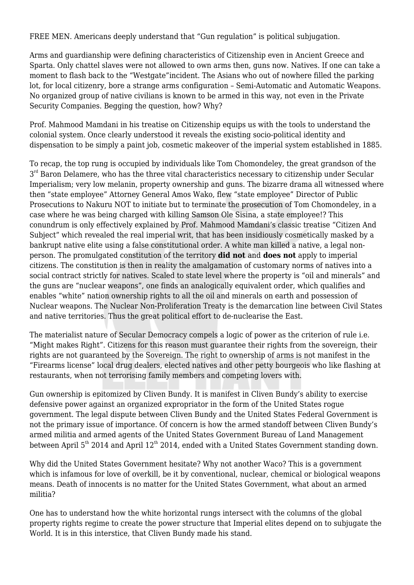FREE MEN. Americans deeply understand that "Gun regulation" is political subjugation.

Arms and guardianship were defining characteristics of Citizenship even in Ancient Greece and Sparta. Only chattel slaves were not allowed to own arms then, guns now. Natives. If one can take a moment to flash back to the "Westgate"incident. The Asians who out of nowhere filled the parking lot, for local citizenry, bore a strange arms configuration – Semi-Automatic and Automatic Weapons. No organized group of native civilians is known to be armed in this way, not even in the Private Security Companies. Begging the question, how? Why?

Prof. Mahmood Mamdani in his treatise on Citizenship equips us with the tools to understand the colonial system. Once clearly understood it reveals the existing socio-political identity and dispensation to be simply a paint job, cosmetic makeover of the imperial system established in 1885.

To recap, the top rung is occupied by individuals like Tom Chomondeley, the great grandson of the  $3<sup>rd</sup>$  Baron Delamere, who has the three vital characteristics necessary to citizenship under Secular Imperialism; very low melanin, property ownership and guns. The bizarre drama all witnessed where then "state employee" Attorney General Amos Wako, flew "state employee" Director of Public Prosecutions to Nakuru NOT to initiate but to terminate the prosecution of Tom Chomondeley, in a case where he was being charged with killing Samson Ole Sisina, a state employee!? This conundrum is only effectively explained by Prof. Mahmood Mamdani's classic treatise "Citizen And Subject" which revealed the real imperial writ, that has been insidiously cosmetically masked by a bankrupt native elite using a false constitutional order. A white man killed a native, a legal nonperson. The promulgated constitution of the territory **did not** and **does not** apply to imperial citizens. The constitution is then in reality the amalgamation of customary norms of natives into a social contract strictly for natives. Scaled to state level where the property is "oil and minerals" and the guns are "nuclear weapons", one finds an analogically equivalent order, which qualifies and enables "white" nation ownership rights to all the oil and minerals on earth and possession of Nuclear weapons. The Nuclear Non-Proliferation Treaty is the demarcation line between Civil States and native territories. Thus the great political effort to de-nuclearise the East.

The materialist nature of Secular Democracy compels a logic of power as the criterion of rule i.e. "Might makes Right". Citizens for this reason must guarantee their rights from the sovereign, their rights are not guaranteed by the Sovereign. The right to ownership of arms is not manifest in the "Firearms license" local drug dealers, elected natives and other petty bourgeois who like flashing at restaurants, when not terrorising family members and competing lovers with.

Gun ownership is epitomized by Cliven Bundy. It is manifest in Cliven Bundy's ability to exercise defensive power against an organized expropriator in the form of the United States rogue government. The legal dispute between Cliven Bundy and the United States Federal Government is not the primary issue of importance. Of concern is how the armed standoff between Cliven Bundy's armed militia and armed agents of the United States Government Bureau of Land Management between April  $5<sup>th</sup>$  2014 and April 12<sup>th</sup> 2014, ended with a United States Government standing down.

Why did the United States Government hesitate? Why not another Waco? This is a government which is infamous for love of overkill, be it by conventional, nuclear, chemical or biological weapons means. Death of innocents is no matter for the United States Government, what about an armed militia?

One has to understand how the white horizontal rungs intersect with the columns of the global property rights regime to create the power structure that Imperial elites depend on to subjugate the World. It is in this interstice, that Cliven Bundy made his stand.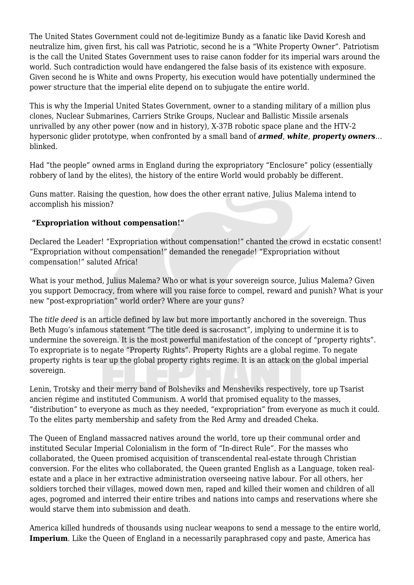The United States Government could not de-legitimize Bundy as a fanatic like David Koresh and neutralize him, given first, his call was Patriotic, second he is a "White Property Owner". Patriotism is the call the United States Government uses to raise canon fodder for its imperial wars around the world. Such contradiction would have endangered the false basis of its existence with exposure. Given second he is White and owns Property, his execution would have potentially undermined the power structure that the imperial elite depend on to subjugate the entire world.

This is why the Imperial United States Government, owner to a standing military of a million plus clones, Nuclear Submarines, Carriers Strike Groups, Nuclear and Ballistic Missile arsenals unrivalled by any other power (now and in history), X-37B robotic space plane and the HTV-2 hypersonic glider prototype, when confronted by a small band of *armed*, *white*, *property owners*… blinked.

Had "the people" owned arms in England during the expropriatory "Enclosure" policy (essentially robbery of land by the elites), the history of the entire World would probably be different.

Guns matter. Raising the question, how does the other errant native, Julius Malema intend to accomplish his mission?

## **"Expropriation without compensation!"**

Declared the Leader! "Expropriation without compensation!" chanted the crowd in ecstatic consent! "Expropriation without compensation!" demanded the renegade! "Expropriation without compensation!" saluted Africa!

What is your method, Julius Malema? Who or what is your sovereign source, Julius Malema? Given you support Democracy, from where will you raise force to compel, reward and punish? What is your new "post-expropriation" world order? Where are your guns?

The *title deed* is an article defined by law but more importantly anchored in the sovereign. Thus Beth Mugo's infamous statement "The title deed is sacrosanct", implying to undermine it is to undermine the sovereign. It is the most powerful manifestation of the concept of "property rights". To expropriate is to negate "Property Rights". Property Rights are a global regime. To negate property rights is tear up the global property rights regime. It is an attack on the global imperial sovereign.

Lenin, Trotsky and their merry band of Bolsheviks and Mensheviks respectively, tore up Tsarist ancien régime and instituted Communism. A world that promised equality to the masses, "distribution" to everyone as much as they needed, "expropriation" from everyone as much it could. To the elites party membership and safety from the Red Army and dreaded Cheka.

The Queen of England massacred natives around the world, tore up their communal order and instituted Secular Imperial Colonialism in the form of "In-direct Rule". For the masses who collaborated, the Queen promised acquisition of transcendental real-estate through Christian conversion. For the elites who collaborated, the Queen granted English as a Language, token realestate and a place in her extractive administration overseeing native labour. For all others, her soldiers torched their villages, mowed down men, raped and killed their women and children of all ages, pogromed and interred their entire tribes and nations into camps and reservations where she would starve them into submission and death.

America killed hundreds of thousands using nuclear weapons to send a message to the entire world, **Imperium**. Like the Queen of England in a necessarily paraphrased copy and paste, America has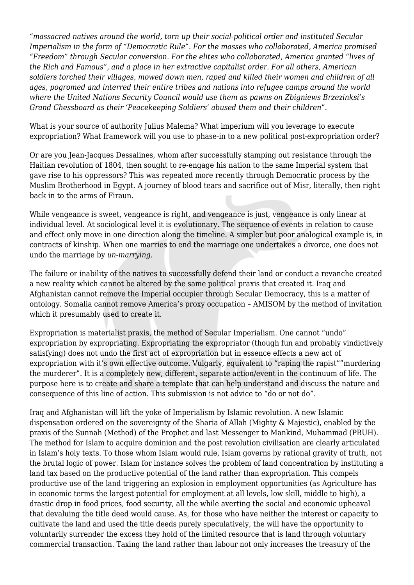"*massacred natives around the world, torn up their social-political order and instituted Secular Imperialism in the form of "Democratic Rule". For the masses who collaborated, America promised "Freedom" through Secular conversion. For the elites who collaborated, America granted "lives of the Rich and Famous", and a place in her extractive capitalist order. For all others, American soldiers torched their villages, mowed down men, raped and killed their women and children of all ages, pogromed and interred their entire tribes and nations into refugee camps around the world where the United Nations Security Council would use them as pawns on Zbigniews Brzezinksi's Grand Chessboard as their 'Peacekeeping Soldiers' abused them and their children".*

What is your source of authority Julius Malema? What imperium will you leverage to execute expropriation? What framework will you use to phase-in to a new political post-expropriation order?

Or are you Jean-Jacques Dessalines, whom after successfully stamping out resistance through the Haitian revolution of 1804, then sought to re-engage his nation to the same Imperial system that gave rise to his oppressors? This was repeated more recently through Democratic process by the Muslim Brotherhood in Egypt. A journey of blood tears and sacrifice out of Misr, literally, then right back in to the arms of Firaun.

While vengeance is sweet, vengeance is right, and vengeance is just, vengeance is only linear at individual level. At sociological level it is evolutionary. The sequence of events in relation to cause and effect only move in one direction along the timeline. A simpler but poor analogical example is, in contracts of kinship. When one marries to end the marriage one undertakes a divorce, one does not undo the marriage by *un-marrying*.

The failure or inability of the natives to successfully defend their land or conduct a revanche created a new reality which cannot be altered by the same political praxis that created it. Iraq and Afghanistan cannot remove the Imperial occupier through Secular Democracy, this is a matter of ontology. Somalia cannot remove America's proxy occupation – AMISOM by the method of invitation which it presumably used to create it.

Expropriation is materialist praxis, the method of Secular Imperialism. One cannot "undo" expropriation by expropriating. Expropriating the expropriator (though fun and probably vindictively satisfying) does not undo the first act of expropriation but in essence effects a new act of expropriation with it's own effective outcome. Vulgarly, equivalent to "raping the rapist""murdering the murderer". It is a completely new, different, separate action/event in the continuum of life. The purpose here is to create and share a template that can help understand and discuss the nature and consequence of this line of action. This submission is not advice to "do or not do".

Iraq and Afghanistan will lift the yoke of Imperialism by Islamic revolution. A new Islamic dispensation ordered on the sovereignty of the Sharia of Allah (Mighty & Majestic), enabled by the praxis of the Sunnah (Method) of the Prophet and last Messenger to Mankind, Muhammad (PBUH). The method for Islam to acquire dominion and the post revolution civilisation are clearly articulated in Islam's holy texts. To those whom Islam would rule, Islam governs by rational gravity of truth, not the brutal logic of power. Islam for instance solves the problem of land concentration by instituting a land tax based on the productive potential of the land rather than expropriation. This compels productive use of the land triggering an explosion in employment opportunities (as Agriculture has in economic terms the largest potential for employment at all levels, low skill, middle to high), a drastic drop in food prices, food security, all the while averting the social and economic upheaval that devaluing the title deed would cause. As, for those who have neither the interest or capacity to cultivate the land and used the title deeds purely speculatively, the will have the opportunity to voluntarily surrender the excess they hold of the limited resource that is land through voluntary commercial transaction. Taxing the land rather than labour not only increases the treasury of the